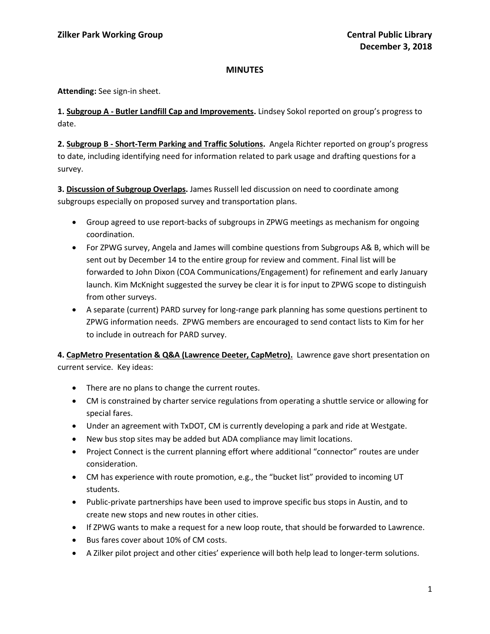## **MINUTES**

**Attending:** See sign-in sheet.

**1. Subgroup A - Butler Landfill Cap and Improvements.** Lindsey Sokol reported on group's progress to date.

**2. Subgroup B - Short-Term Parking and Traffic Solutions.** Angela Richter reported on group's progress to date, including identifying need for information related to park usage and drafting questions for a survey.

**3. Discussion of Subgroup Overlaps.** James Russell led discussion on need to coordinate among subgroups especially on proposed survey and transportation plans.

- Group agreed to use report-backs of subgroups in ZPWG meetings as mechanism for ongoing coordination.
- For ZPWG survey, Angela and James will combine questions from Subgroups A& B, which will be sent out by December 14 to the entire group for review and comment. Final list will be forwarded to John Dixon (COA Communications/Engagement) for refinement and early January launch. Kim McKnight suggested the survey be clear it is for input to ZPWG scope to distinguish from other surveys.
- A separate (current) PARD survey for long-range park planning has some questions pertinent to ZPWG information needs. ZPWG members are encouraged to send contact lists to Kim for her to include in outreach for PARD survey.

**4. CapMetro Presentation & Q&A (Lawrence Deeter, CapMetro).** Lawrence gave short presentation on current service. Key ideas:

- There are no plans to change the current routes.
- CM is constrained by charter service regulations from operating a shuttle service or allowing for special fares.
- Under an agreement with TxDOT, CM is currently developing a park and ride at Westgate.
- New bus stop sites may be added but ADA compliance may limit locations.
- Project Connect is the current planning effort where additional "connector" routes are under consideration.
- CM has experience with route promotion, e.g., the "bucket list" provided to incoming UT students.
- Public-private partnerships have been used to improve specific bus stops in Austin, and to create new stops and new routes in other cities.
- If ZPWG wants to make a request for a new loop route, that should be forwarded to Lawrence.
- Bus fares cover about 10% of CM costs.
- A Zilker pilot project and other cities' experience will both help lead to longer-term solutions.